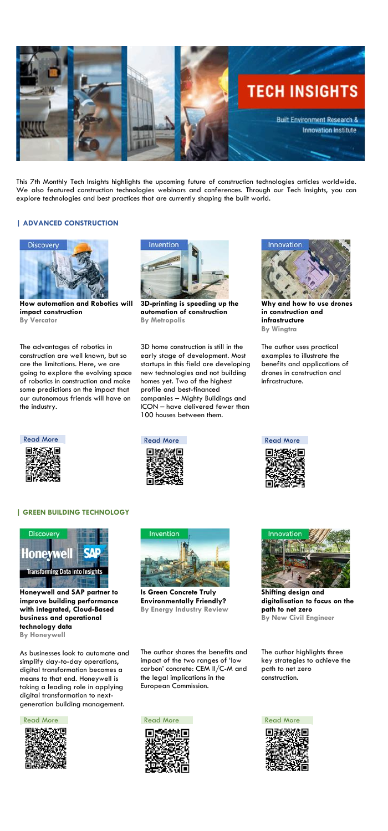

This 7th Monthly Tech Insights highlights the upcoming future of construction technologies articles worldwide. We also featured construction technologies webinars and conferences. Through our Tech Insights, you can explore technologies and best practices that are currently shaping the built world.

# **| ADVANCED CONSTRUCTION**



**How automation and Robotics will impact construction By Vercator**



**3D-printing is speeding up the automation of construction By Metropolis**



**Why and how to use drones in construction and infrastructure By Wingtra** 

The advantages of robotics in construction are well known, but so are the limitations. Here, we are going to explore the evolving space of robotics in construction and make some predictions on the impact that our autonomous friends will have on the industry.

3D home construction is still in the early stage of development. Most startups in this field are developing new technologies and not building homes yet. Two of the highest profile and best-financed companies – Mighty Buildings and ICON – have delivered fewer than 100 houses between them.

The author uses practical examples to illustrate the benefits and applications of drones in construction and infrastructure.





## **| GREEN BUILDING TECHNOLOGY**







**Honeywell and SAP partner to improve building performance with integrated, Cloud-Based business and operational technology data**

**By Honeywell**

**Is Green Concrete Truly Environmentally Friendly? By Energy Industry Review**

**Shifting design and digitalisation to focus on the path to net zero By New Civil Engineer**

As businesses look to automate and simplify day-to-day operations, digital transformation becomes a means to that end. Honeywell is taking a leading role in applying digital transformation to nextgeneration building management.

### [Read More](https://www.newcivilengineer.com/latest/shifting-design-and-digitalisation-to-focus-on-the-path-to-net-zero-19-04-2021/) **Read More** Read More **Read More** Read More



The author shares the benefits and impact of the two ranges of 'low carbon' concrete: CEM II/C-M and the legal implications in the European Commission.

The author highlights three key strategies to achieve the path to net zero construction.



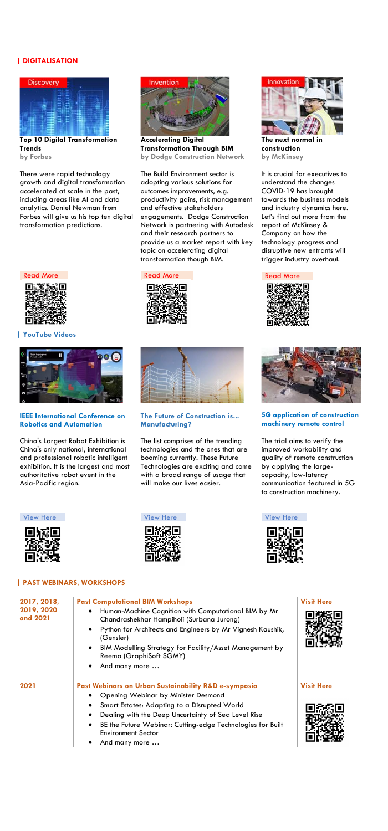# **| DIGITALISATION**



**Top 10 Digital Transformation Trends by Forbes**



**Accelerating Digital Transformation Through BIM by Dodge Construction Network**



**The next normal in construction by McKinsey**

There were rapid technology growth and digital transformation accelerated at scale in the past, including areas like AI and data analytics. Daniel Newman from Forbes will give us his top ten digital transformation predictions.

The Build Environment sector is adopting various solutions for outcomes improvements, e.g. productivity gains, risk management and effective stakeholders engagements. Dodge Construction Network is partnering with Autodesk and their research partners to provide us a market report with key topic on accelerating digital transformation though BIM.

It is crucial for executives to understand the changes COVID-19 has brought towards the business models and industry dynamics here. Let's find out more from the report of McKinsey & Company on how the technology progress and disruptive new entrants will trigger industry overhaul.



## **| YouTube Videos**



### **IEEE International Conference on Robotics and Automation**

### **The Future of Construction is... Manufacturing?**

### **5G application of construction machinery remote control**

China's Largest Robot Exhibition is China's only national, international and professional robotic intelligent exhibition. It is the largest and most authoritative robot event in the Asia-Pacific region.



The list comprises of the trending technologies and the ones that are booming currently. These Future Technologies are exciting and come with a broad range of usage that will make our lives easier.





[View Here](https://youtu.be/k3GA9-Yo_D8) View Here View Here View Here View Here



[Read More](https://www.mckinsey.com/~/media/McKinsey/Industries/Capital%20Projects%20and%20Infrastructure/Our%20Insights/The%20next%20normal%20in%20construction/The-next-normal-in-construction.pdf) **Read More** Read More **Read More** Read More



The trial aims to verify the improved workability and quality of remote construction by applying the largecapacity, low-latency communication featured in 5G to construction machinery.

| 2017, 2018,<br>2019, 2020<br>and 2021 | <b>Past Computational BIM Workshops</b><br>Human-Machine Cognition with Computational BIM by Mr<br>٠<br>Chandrashekhar Hampiholi (Surbana Jurong)<br>Python for Architects and Engineers by Mr Vignesh Kaushik,<br>$\bullet$<br>(Gensler)<br>BIM Modelling Strategy for Facility/Asset Management by<br>$\bullet$<br>Reema (GraphiSoft SGMY)<br>And many more<br>٠ | <b>Visit Here</b> |
|---------------------------------------|--------------------------------------------------------------------------------------------------------------------------------------------------------------------------------------------------------------------------------------------------------------------------------------------------------------------------------------------------------------------|-------------------|
| 2021                                  | Past Webinars on Urban Sustainability R&D e-symposia<br>Opening Webinar by Minister Desmond<br>Smart Estates: Adapting to a Disrupted World<br>٠<br>Dealing with the Deep Uncertainty of Sea Level Rise<br>$\bullet$<br>BE the Future Webinar: Cutting-edge Technologies for Built<br>$\bullet$<br><b>Environment Sector</b><br>And many more                      | <b>Visit Here</b> |